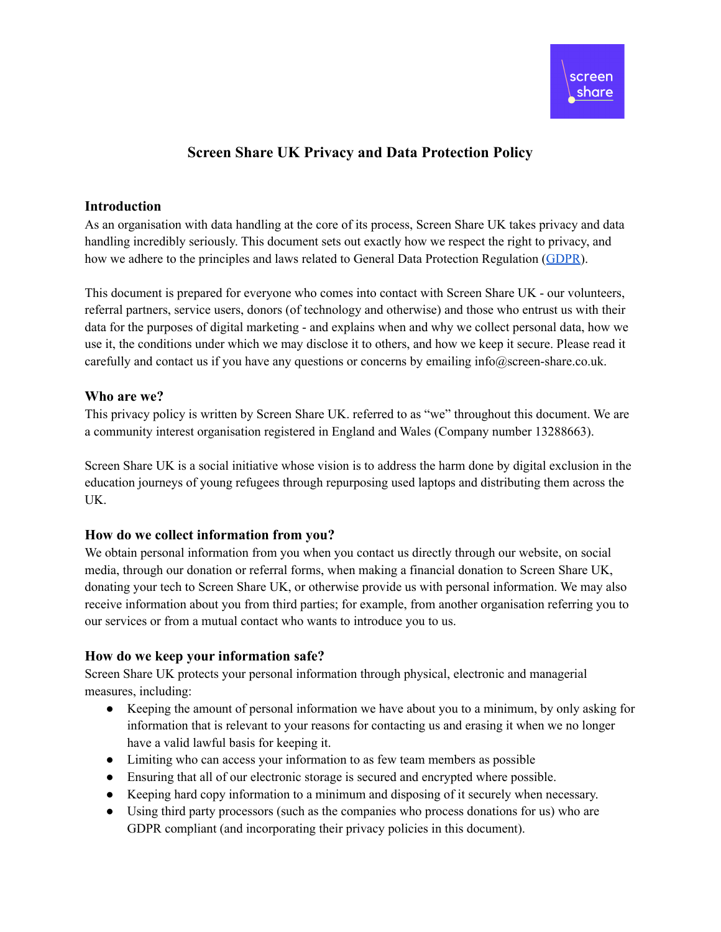## **Screen Share UK Privacy and Data Protection Policy**

#### **Introduction**

As an organisation with data handling at the core of its process, Screen Share UK takes privacy and data handling incredibly seriously. This document sets out exactly how we respect the right to privacy, and how we adhere to the principles and laws related to General Data Protection Regulation ([GDPR](https://ico.org.uk/for-organisations/guide-to-data-protection/guide-to-the-general-data-protection-regulation-gdpr/)).

This document is prepared for everyone who comes into contact with Screen Share UK - our volunteers, referral partners, service users, donors (of technology and otherwise) and those who entrust us with their data for the purposes of digital marketing - and explains when and why we collect personal data, how we use it, the conditions under which we may disclose it to others, and how we keep it secure. Please read it carefully and contact us if you have any questions or concerns by emailing info@screen-share.co.uk.

## **Who are we?**

This privacy policy is written by Screen Share UK. referred to as "we" throughout this document. We are a community interest organisation registered in England and Wales (Company number 13288663).

Screen Share UK is a social initiative whose vision is to address the harm done by digital exclusion in the education journeys of young refugees through repurposing used laptops and distributing them across the UK.

## **How do we collect information from you?**

We obtain personal information from you when you contact us directly through our website, on social media, through our donation or referral forms, when making a financial donation to Screen Share UK, donating your tech to Screen Share UK, or otherwise provide us with personal information. We may also receive information about you from third parties; for example, from another organisation referring you to our services or from a mutual contact who wants to introduce you to us.

## **How do we keep your information safe?**

Screen Share UK protects your personal information through physical, electronic and managerial measures, including:

- Keeping the amount of personal information we have about you to a minimum, by only asking for information that is relevant to your reasons for contacting us and erasing it when we no longer have a valid lawful basis for keeping it.
- Limiting who can access your information to as few team members as possible
- Ensuring that all of our electronic storage is secured and encrypted where possible.
- Keeping hard copy information to a minimum and disposing of it securely when necessary.
- Using third party processors (such as the companies who process donations for us) who are GDPR compliant (and incorporating their privacy policies in this document).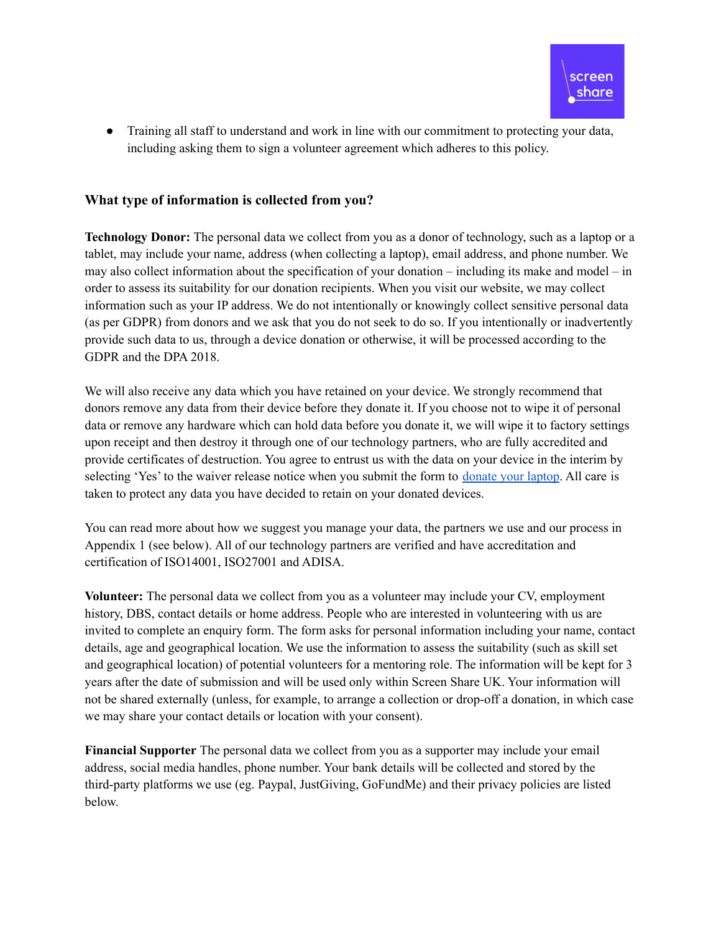

• Training all staff to understand and work in line with our commitment to protecting your data, including asking them to sign a volunteer agreement which adheres to this policy.

## **What type of information is collected from you?**

**Technology Donor:** The personal data we collect from you as a donor of technology, such as a laptop or a tablet, may include your name, address (when collecting a laptop), email address, and phone number. We may also collect information about the specification of your donation – including its make and model – in order to assess its suitability for our donation recipients. When you visit our website, we may collect information such as your IP address. We do not intentionally or knowingly collect sensitive personal data (as per GDPR) from donors and we ask that you do not seek to do so. If you intentionally or inadvertently provide such data to us, through a device donation or otherwise, it will be processed according to the GDPR and the DPA 2018.

We will also receive any data which you have retained on your device. We strongly recommend that donors remove any data from their device before they donate it. If you choose not to wipe it of personal data or remove any hardware which can hold data before you donate it, we will wipe it to factory settings upon receipt and then destroy it through one of our technology partners, who are fully accredited and provide certificates of destruction. You agree to entrust us with the data on your device in the interim by selecting 'Yes' to the waiver release notice when you submit the form to <u>[donate](https://docs.google.com/forms/d/e/1FAIpQLSeKk9rJCTaKNHJmtRHqgmRFp5KsYd7tOmKPyJm14z9WgXeDkg/viewform?usp=send_form) your laptop</u>. All care is taken to protect any data you have decided to retain on your donated devices.

You can read more about how we suggest you manage your data, the partners we use and our process in Appendix 1 (see below). All of our technology partners are verified and have accreditation and certification of ISO14001, ISO27001 and ADISA.

**Volunteer:** The personal data we collect from you as a volunteer may include your CV, employment history, DBS, contact details or home address. People who are interested in volunteering with us are invited to complete an enquiry form. The form asks for personal information including your name, contact details, age and geographical location. We use the information to assess the suitability (such as skill set and geographical location) of potential volunteers for a mentoring role. The information will be kept for 3 years after the date of submission and will be used only within Screen Share UK. Your information will not be shared externally (unless, for example, to arrange a collection or drop-off a donation, in which case we may share your contact details or location with your consent).

**Financial Supporter** The personal data we collect from you as a supporter may include your email address, social media handles, phone number. Your bank details will be collected and stored by the third-party platforms we use (eg. Paypal, JustGiving, GoFundMe) and their privacy policies are listed below.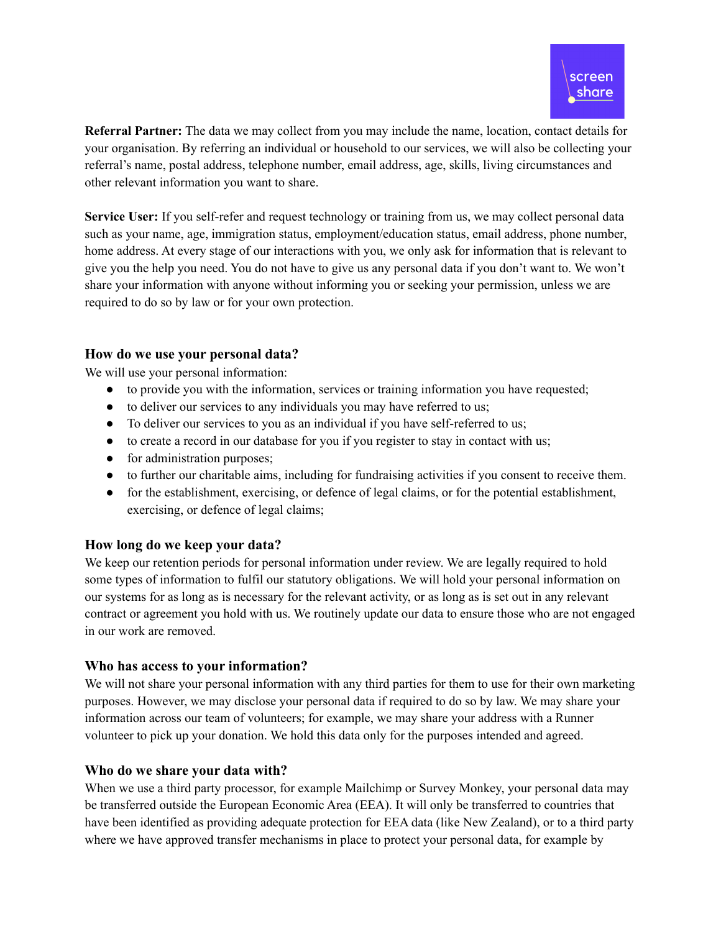

**Referral Partner:** The data we may collect from you may include the name, location, contact details for your organisation. By referring an individual or household to our services, we will also be collecting your referral's name, postal address, telephone number, email address, age, skills, living circumstances and other relevant information you want to share.

**Service User:** If you self-refer and request technology or training from us, we may collect personal data such as your name, age, immigration status, employment/education status, email address, phone number, home address. At every stage of our interactions with you, we only ask for information that is relevant to give you the help you need. You do not have to give us any personal data if you don't want to. We won't share your information with anyone without informing you or seeking your permission, unless we are required to do so by law or for your own protection.

#### **How do we use your personal data?**

We will use your personal information:

- to provide you with the information, services or training information you have requested;
- to deliver our services to any individuals you may have referred to us;
- To deliver our services to you as an individual if you have self-referred to us;
- to create a record in our database for you if you register to stay in contact with us;
- for administration purposes;
- to further our charitable aims, including for fundraising activities if you consent to receive them.
- for the establishment, exercising, or defence of legal claims, or for the potential establishment, exercising, or defence of legal claims;

## **How long do we keep your data?**

We keep our retention periods for personal information under review. We are legally required to hold some types of information to fulfil our statutory obligations. We will hold your personal information on our systems for as long as is necessary for the relevant activity, or as long as is set out in any relevant contract or agreement you hold with us. We routinely update our data to ensure those who are not engaged in our work are removed.

#### **Who has access to your information?**

We will not share your personal information with any third parties for them to use for their own marketing purposes. However, we may disclose your personal data if required to do so by law. We may share your information across our team of volunteers; for example, we may share your address with a Runner volunteer to pick up your donation. We hold this data only for the purposes intended and agreed.

#### **Who do we share your data with?**

When we use a third party processor, for example Mailchimp or Survey Monkey, your personal data may be transferred outside the European Economic Area (EEA). It will only be transferred to countries that have been identified as providing adequate protection for EEA data (like New Zealand), or to a third party where we have approved transfer mechanisms in place to protect your personal data, for example by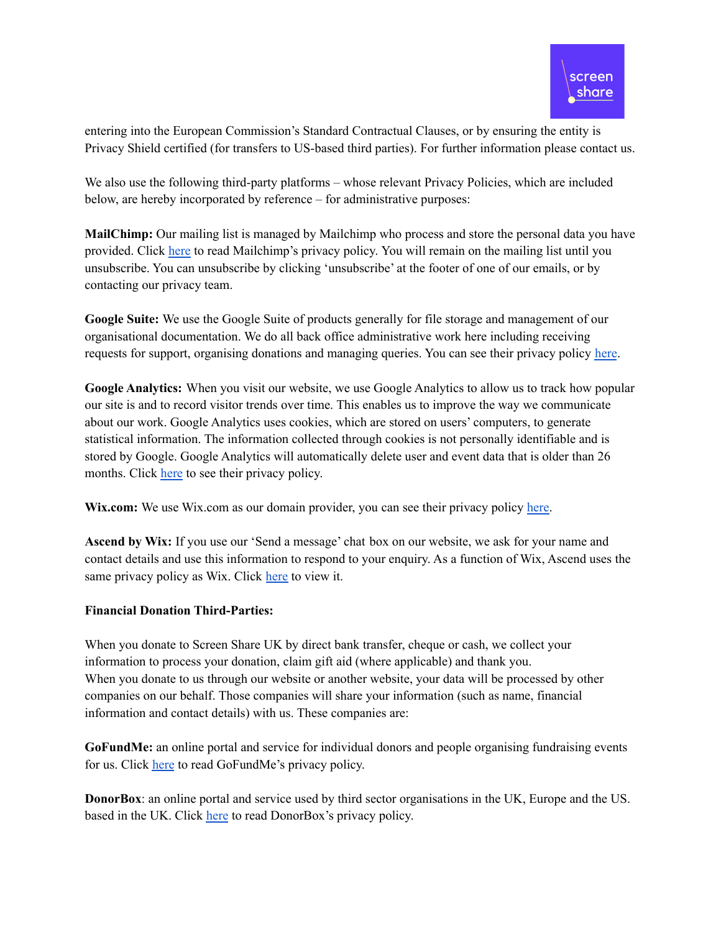

entering into the European Commission's Standard Contractual Clauses, or by ensuring the entity is Privacy Shield certified (for transfers to US-based third parties). For further information please contact us.

We also use the following third-party platforms – whose relevant Privacy Policies, which are included below, are hereby incorporated by reference – for administrative purposes:

**MailChimp:** Our mailing list is managed by Mailchimp who process and store the personal data you have provided. Click [here](https://mailchimp.com/legal/privacy/?_ga=2.222755356.687496531.1522761309-506108615.1510676138&_gac=1.45426704.1522415078.EAIaIQobChMIo5bagY6U2gIV6pPtCh0bQwbMEAAYASAAEgJR6PD_BwE) to read Mailchimp's privacy policy. You will remain on the mailing list until you unsubscribe. You can unsubscribe by clicking 'unsubscribe' at the footer of one of our emails, or by contacting our privacy team.

**Google Suite:** We use the Google Suite of products generally for file storage and management of our organisational documentation. We do all back office administrative work here including receiving requests for support, organising donations and managing queries. You can see their privacy policy [here](https://policies.google.com/privacy?hl=en-US).

**Google Analytics:** When you visit our website, we use Google Analytics to allow us to track how popular our site is and to record visitor trends over time. This enables us to improve the way we communicate about our work. Google Analytics uses cookies, which are stored on users' computers, to generate statistical information. The information collected through cookies is not personally identifiable and is stored by Google. Google Analytics will automatically delete user and event data that is older than 26 months. Click [here](https://support.google.com/analytics/answer/4597324) to see their privacy policy.

Wix.com: We use Wix.com as our domain provider, you can see their privacy policy [here.](https://www.wix.com/about/privacy)

**Ascend by Wix:** If you use our 'Send a message' chat box on our website, we ask for your name and contact details and use this information to respond to your enquiry. As a function of Wix, Ascend uses the same privacy policy as Wix. Click [here](https://www.wix.com/about/privacy) to view it.

#### **Financial Donation Third-Parties:**

When you donate to Screen Share UK by direct bank transfer, cheque or cash, we collect your information to process your donation, claim gift aid (where applicable) and thank you. When you donate to us through our website or another website, your data will be processed by other companies on our behalf. Those companies will share your information (such as name, financial information and contact details) with us. These companies are:

**GoFundMe:** an online portal and service for individual donors and people organising fundraising events for us. Click [here](https://www.gofundme.com/privacy) to read GoFundMe's privacy policy.

**DonorBox**: an online portal and service used by third sector organisations in the UK, Europe and the US. based in the UK. Click [here](https://donorbox.org/privacy) to read DonorBox's privacy policy.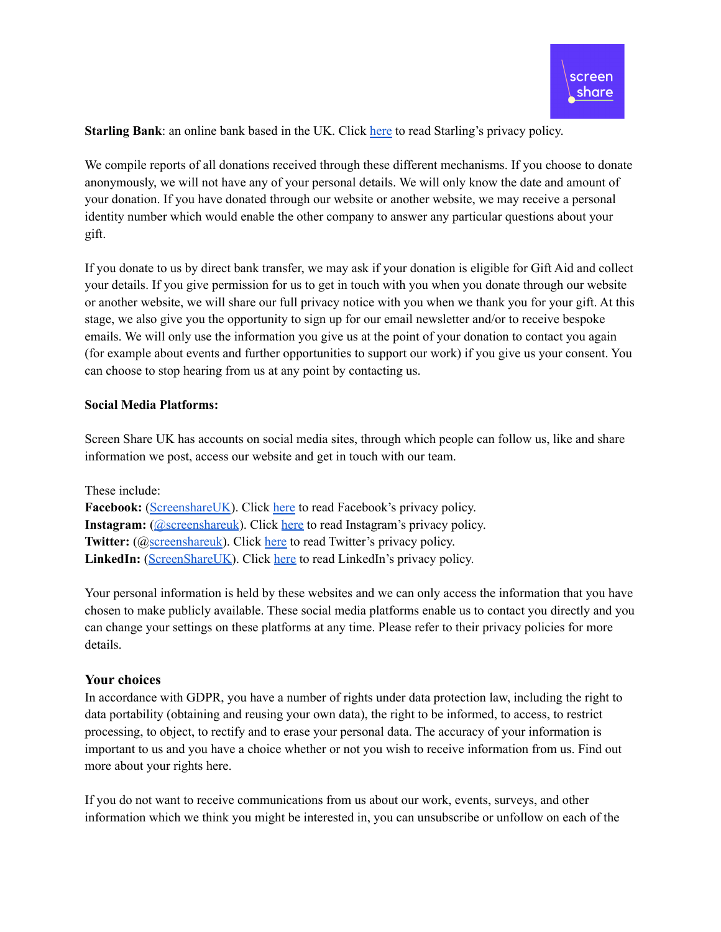**Starling Bank**: an online bank based in the UK. Click [here](https://www.starlingbank.com/legal/privacy-notice/) to read Starling's privacy policy.

We compile reports of all donations received through these different mechanisms. If you choose to donate anonymously, we will not have any of your personal details. We will only know the date and amount of your donation. If you have donated through our website or another website, we may receive a personal identity number which would enable the other company to answer any particular questions about your gift.

If you donate to us by direct bank transfer, we may ask if your donation is eligible for Gift Aid and collect your details. If you give permission for us to get in touch with you when you donate through our website or another website, we will share our full privacy notice with you when we thank you for your gift. At this stage, we also give you the opportunity to sign up for our email newsletter and/or to receive bespoke emails. We will only use the information you give us at the point of your donation to contact you again (for example about events and further opportunities to support our work) if you give us your consent. You can choose to stop hearing from us at any point by contacting us.

#### **Social Media Platforms:**

Screen Share UK has accounts on social media sites, through which people can follow us, like and share information we post, access our website and get in touch with our team.

These include: Facebook: [\(ScreenshareUK](https://www.facebook.com/ScreenshareUK)). Click [here](https://www.facebook.com/privacy/explanation) to read Facebook's privacy policy. **Instagram:** (*[@screenshareuk](https://www.instagram.com/screenshareuk/?hl=en)*). Click [here](https://help.instagram.com/155833707900388) to read Instagram's privacy policy. **Twitter:** (@[screenshareuk](https://twitter.com/screenshareuk)). Click [here](https://twitter.com/en/privacy) to read Twitter's privacy policy. LinkedIn: [\(ScreenShareUK\)](https://uk.linkedin.com/company/screen-share-uk?trk=public_profile_topcard-current-company). Click [here](https://www.linkedin.com/legal/privacy-policy) to read LinkedIn's privacy policy.

Your personal information is held by these websites and we can only access the information that you have chosen to make publicly available. These social media platforms enable us to contact you directly and you can change your settings on these platforms at any time. Please refer to their privacy policies for more details.

#### **Your choices**

In accordance with GDPR, you have a number of rights under data protection law, including the right to data portability (obtaining and reusing your own data), the right to be informed, to access, to restrict processing, to object, to rectify and to erase your personal data. The accuracy of your information is important to us and you have a choice whether or not you wish to receive information from us. Find out more about your rights here.

If you do not want to receive communications from us about our work, events, surveys, and other information which we think you might be interested in, you can unsubscribe or unfollow on each of the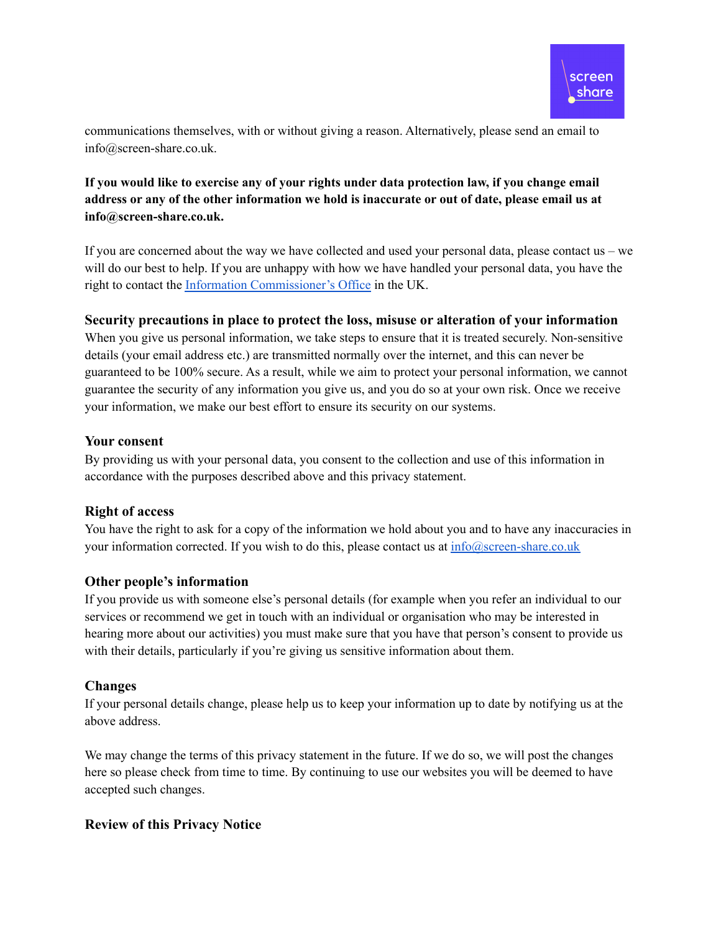

communications themselves, with or without giving a reason. Alternatively, please send an email to info@screen-share.co.uk.

## **If you would like to exercise any of your rights under data protection law, if you change email** address or any of the other information we hold is inaccurate or out of date, please email us at **info@screen-share.co.uk.**

If you are concerned about the way we have collected and used your personal data, please contact us – we will do our best to help. If you are unhappy with how we have handled your personal data, you have the right to contact the Information [Commissioner's](https://ico.org.uk/your-data-matters/) Office in the UK.

## **Security precautions in place to protect the loss, misuse or alteration of your information**

When you give us personal information, we take steps to ensure that it is treated securely. Non-sensitive details (your email address etc.) are transmitted normally over the internet, and this can never be guaranteed to be 100% secure. As a result, while we aim to protect your personal information, we cannot guarantee the security of any information you give us, and you do so at your own risk. Once we receive your information, we make our best effort to ensure its security on our systems.

## **Your consent**

By providing us with your personal data, you consent to the collection and use of this information in accordance with the purposes described above and this privacy statement.

## **Right of access**

You have the right to ask for a copy of the information we hold about you and to have any inaccuracies in your information corrected. If you wish to do this, please contact us at  $info@screen-share.co.uk$ 

## **Other people's information**

If you provide us with someone else's personal details (for example when you refer an individual to our services or recommend we get in touch with an individual or organisation who may be interested in hearing more about our activities) you must make sure that you have that person's consent to provide us with their details, particularly if you're giving us sensitive information about them.

#### **Changes**

If your personal details change, please help us to keep your information up to date by notifying us at the above address.

We may change the terms of this privacy statement in the future. If we do so, we will post the changes here so please check from time to time. By continuing to use our websites you will be deemed to have accepted such changes.

## **Review of this Privacy Notice**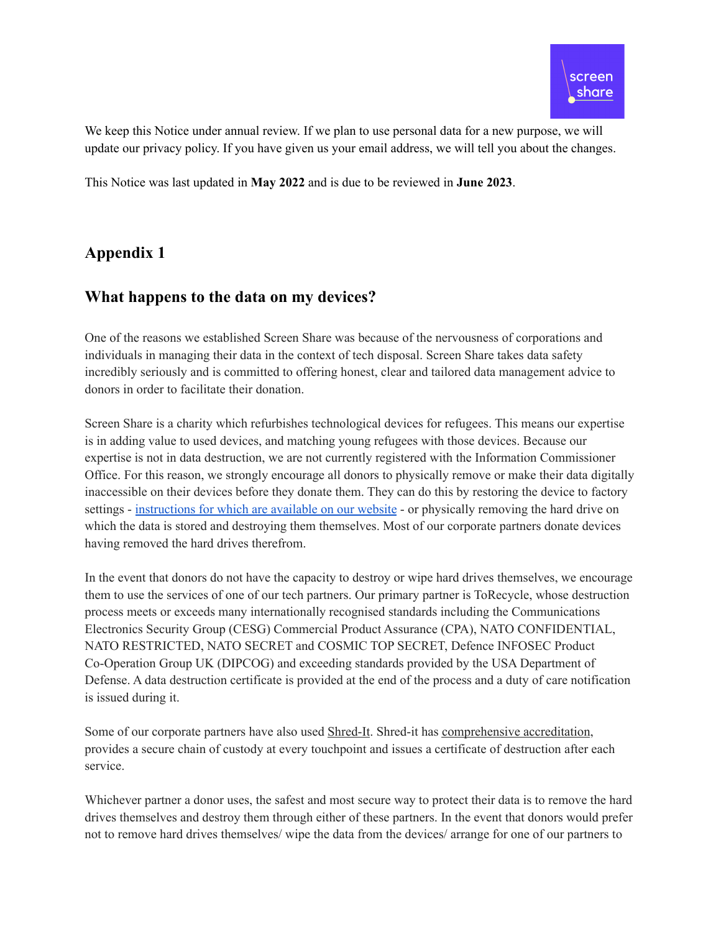We keep this Notice under annual review. If we plan to use personal data for a new purpose, we will update our privacy policy. If you have given us your email address, we will tell you about the changes.

This Notice was last updated in **May 2022** and is due to be reviewed in **June 2023**.

# **Appendix 1**

# **What happens to the data on my devices?**

One of the reasons we established Screen Share was because of the nervousness of corporations and individuals in managing their data in the context of tech disposal. Screen Share takes data safety incredibly seriously and is committed to offering honest, clear and tailored data management advice to donors in order to facilitate their donation.

Screen Share is a charity which refurbishes technological devices for refugees. This means our expertise is in adding value to used devices, and matching young refugees with those devices. Because our expertise is not in data destruction, we are not currently registered with the Information Commissioner Office. For this reason, we strongly encourage all donors to physically remove or make their data digitally inaccessible on their devices before they donate them. They can do this by restoring the device to factory settings - [instructions](https://www.screen-share.co.uk/wipe-your-laptop) for which are available on our website - or physically removing the hard drive on which the data is stored and destroying them themselves. Most of our corporate partners donate devices having removed the hard drives therefrom.

In the event that donors do not have the capacity to destroy or wipe hard drives themselves, we encourage them to use the services of one of our tech partners. Our primary partner is ToRecycle, whose destruction process meets or exceeds many internationally recognised standards including the Communications Electronics Security Group (CESG) Commercial Product Assurance (CPA), NATO CONFIDENTIAL, NATO RESTRICTED, NATO SECRET and COSMIC TOP SECRET, Defence INFOSEC Product Co-Operation Group UK (DIPCOG) and exceeding standards provided by the USA Department of Defense. A data destruction certificate is provided at the end of the process and a duty of care notification is issued during it.

Some of our corporate partners have also used [Shred-It](https://www.shredit.co.uk/en-gb/secure-shredding-services/hard-drive-destruction). Shred-it has [comprehensive](https://www.shredit.co.uk/en-gb/about/social-responsibility/policies-and-positions) accreditation, provides a secure chain of custody at every touchpoint and issues a certificate of destruction after each service.

Whichever partner a donor uses, the safest and most secure way to protect their data is to remove the hard drives themselves and destroy them through either of these partners. In the event that donors would prefer not to remove hard drives themselves/ wipe the data from the devices/ arrange for one of our partners to